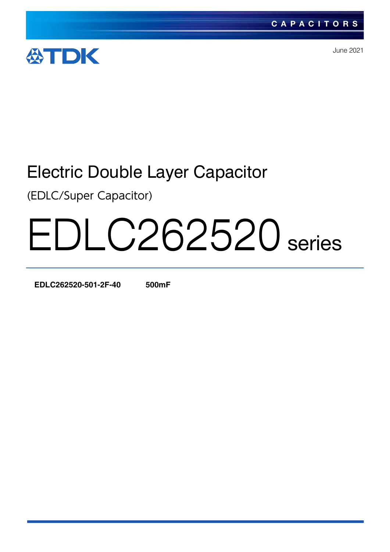

June 2021

# Electric Double Layer Capacitor

(EDLC/Super Capacitor)

# EDLC262520 series

**EDLC262520-501-2F-40 500mF**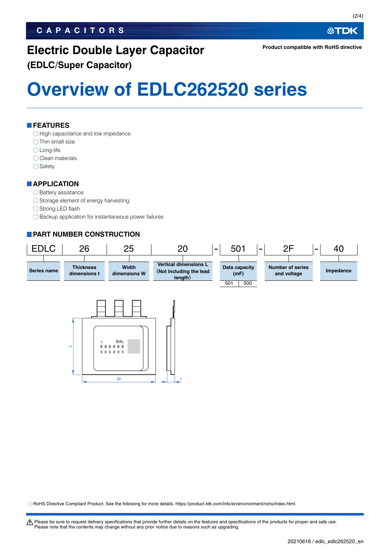# **CAPACITORS**

# **Electric Double Layer Capacitor (EDLC/Super Capacitor)**

**Overview of EDLC262520 series**

**FEATURES**

 $\bigcirc$  High capacitance and low impedance.

 $\bigcirc$  Thin small size.

○ Long-life.

O Clean materials.

 $\bigcirc$  Safety.

## **APPLICATION**

### $\bigcirc$  Battery assistance

 $\bigcirc$  Storage element of energy harvesting

◯ Strong LED flash

 $\bigcirc$  Backup application for instantaneous power failures

# **PART NUMBER CONSTRUCTION**



RoHS Directive Compliant Product: See the following for more details. https://product.tdk.com/info/en/environment/rohs/index.html

W  $\qquad \qquad \Box$ 

t Please be sure to request delivery specifications that provide further details on the features and specifications of the products for proper and safe use. Please note that the contents may change without any prior notice due to reasons such as upgrading.

公TDK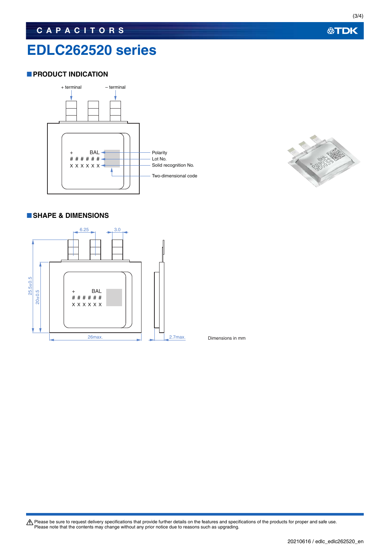# **EDLC262520 series**

# **PRODUCT INDICATION**





# **SHAPE & DIMENSIONS**



Dimensions in mm

Please be sure to request delivery specifications that provide further details on the features and specifications of the products for proper and safe use.<br>Please note that the contents may change without any prior notice d

**公TDK**